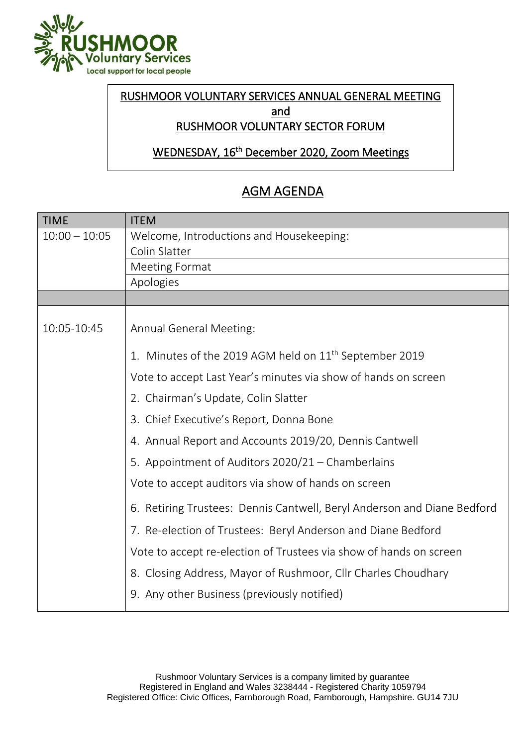

## RUSHMOOR VOLUNTARY SERVICES ANNUAL GENERAL MEETING and

## RUSHMOOR VOLUNTARY SECTOR FORUM

WEDNESDAY, 16th December 2020, Zoom Meetings  $\overline{a}$ 

## AGM AGENDA

| <b>TIME</b>     | <b>ITEM</b>                                                             |
|-----------------|-------------------------------------------------------------------------|
| $10:00 - 10:05$ | Welcome, Introductions and Housekeeping:                                |
|                 | Colin Slatter                                                           |
|                 | <b>Meeting Format</b>                                                   |
|                 | Apologies                                                               |
|                 |                                                                         |
|                 |                                                                         |
| 10:05-10:45     | <b>Annual General Meeting:</b>                                          |
|                 | 1. Minutes of the 2019 AGM held on 11 <sup>th</sup> September 2019      |
|                 | Vote to accept Last Year's minutes via show of hands on screen          |
|                 | 2. Chairman's Update, Colin Slatter                                     |
|                 | 3. Chief Executive's Report, Donna Bone                                 |
|                 | 4. Annual Report and Accounts 2019/20, Dennis Cantwell                  |
|                 | 5. Appointment of Auditors 2020/21 – Chamberlains                       |
|                 | Vote to accept auditors via show of hands on screen                     |
|                 | 6. Retiring Trustees: Dennis Cantwell, Beryl Anderson and Diane Bedford |
|                 | 7. Re-election of Trustees: Beryl Anderson and Diane Bedford            |
|                 | Vote to accept re-election of Trustees via show of hands on screen      |
|                 | 8. Closing Address, Mayor of Rushmoor, Cllr Charles Choudhary           |
|                 | 9. Any other Business (previously notified)                             |